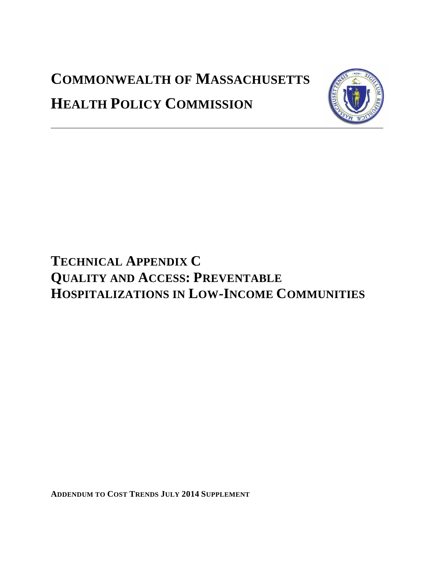# **COMMONWEALTH OF MASSACHUSETTS HEALTH POLICY COMMISSION**



# **TECHNICAL APPENDIX C QUALITY AND ACCESS: PREVENTABLE HOSPITALIZATIONS IN LOW-INCOME COMMUNITIES**

**ADDENDUM TO COST TRENDS JULY 2014 SUPPLEMENT**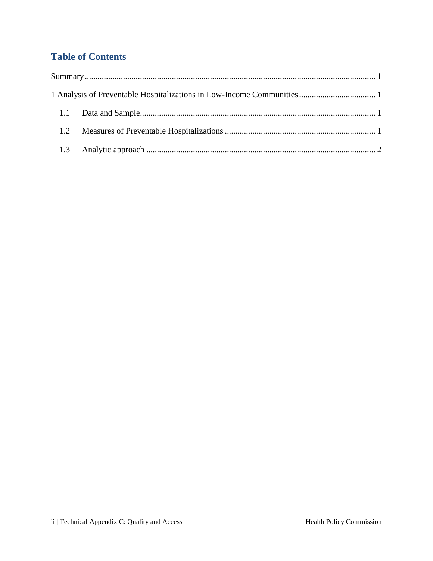# **Table of Contents**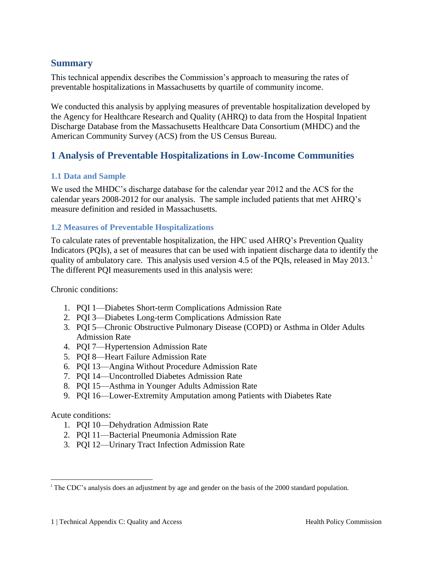## <span id="page-2-0"></span>**Summary**

This technical appendix describes the Commission's approach to measuring the rates of preventable hospitalizations in Massachusetts by quartile of community income.

We conducted this analysis by applying measures of preventable hospitalization developed by the Agency for Healthcare Research and Quality (AHRQ) to data from the Hospital Inpatient Discharge Database from the Massachusetts Healthcare Data Consortium (MHDC) and the American Community Survey (ACS) from the US Census Bureau.

# <span id="page-2-1"></span>**1 Analysis of Preventable Hospitalizations in Low-Income Communities**

#### <span id="page-2-2"></span>**1.1 Data and Sample**

We used the MHDC's discharge database for the calendar year 2012 and the ACS for the calendar years 2008-2012 for our analysis. The sample included patients that met AHRQ's measure definition and resided in Massachusetts.

### <span id="page-2-3"></span>**1.2 Measures of Preventable Hospitalizations**

To calculate rates of preventable hospitalization, the HPC used AHRQ's Prevention Quality Indicators (PQIs), a set of measures that can be used with inpatient discharge data to identify the quality of ambulatory care. This analysis used version 4.5 of the PQIs, released in May 2013.<sup>1</sup> The different PQI measurements used in this analysis were:

Chronic conditions:

- 1. PQI 1—Diabetes Short-term Complications Admission Rate
- 2. PQI 3—Diabetes Long-term Complications Admission Rate
- 3. PQI 5—Chronic Obstructive Pulmonary Disease (COPD) or Asthma in Older Adults Admission Rate
- 4. PQI 7—Hypertension Admission Rate
- 5. PQI 8—Heart Failure Admission Rate
- 6. PQI 13—Angina Without Procedure Admission Rate
- 7. PQI 14—Uncontrolled Diabetes Admission Rate
- 8. PQI 15—Asthma in Younger Adults Admission Rate
- 9. PQI 16—Lower-Extremity Amputation among Patients with Diabetes Rate

Acute conditions:

 $\overline{a}$ 

- 1. PQI 10—Dehydration Admission Rate
- 2. PQI 11—Bacterial Pneumonia Admission Rate
- 3. PQI 12—Urinary Tract Infection Admission Rate

<sup>&</sup>lt;sup>i</sup> The CDC's analysis does an adjustment by age and gender on the basis of the 2000 standard population.